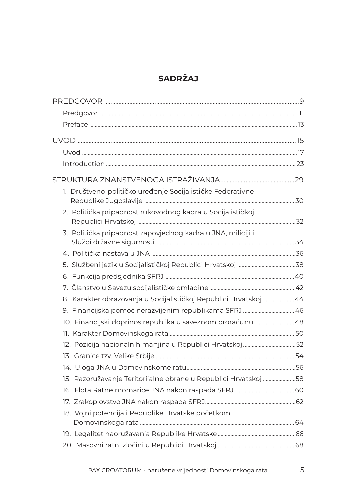## **SADRŽAJ**

| 1. Društveno-političko uređenje Socijalističke Federativne       |  |
|------------------------------------------------------------------|--|
| 2. Politička pripadnost rukovodnog kadra u Socijalističkoj       |  |
| 3. Politička pripadnost zapovjednog kadra u JNA, miliciji i      |  |
|                                                                  |  |
|                                                                  |  |
|                                                                  |  |
|                                                                  |  |
| 8. Karakter obrazovanja u Socijalističkoj Republici Hrvatskoj 44 |  |
| 9. Financijska pomoć nerazvijenim republikama SFRJ  46           |  |
| 10. Financijski doprinos republika u saveznom proračunu  48      |  |
|                                                                  |  |
| 12. Pozicija nacionalnih manjina u Republici Hrvatskoj 52        |  |
|                                                                  |  |
|                                                                  |  |
| 15. Razoružavanje Teritorijalne obrane u Republici Hrvatskoj 58  |  |
|                                                                  |  |
|                                                                  |  |
| 18. Vojni potencijali Republike Hrvatske početkom                |  |
|                                                                  |  |
|                                                                  |  |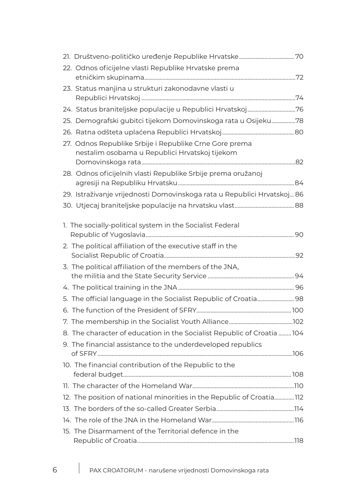| 22. Odnos oficijelne vlasti Republike Hrvatske prema                                                                    |  |
|-------------------------------------------------------------------------------------------------------------------------|--|
| 23. Status manjina u strukturi zakonodavne vlasti u                                                                     |  |
| 24. Status braniteljske populacije u Republici Hrvatskoj76                                                              |  |
| 25. Demografski gubitci tijekom Domovinskoga rata u Osijeku78                                                           |  |
|                                                                                                                         |  |
| 27. Odnos Republike Srbije i Republike Crne Gore prema<br>nestalim osobama u Republici Hrvatskoj tijekom                |  |
| 28. Odnos oficijelnih vlasti Republike Srbije prema oružanoj                                                            |  |
| 29. Istraživanje vrijednosti Domovinskoga rata u Republici Hrvatskoj 86                                                 |  |
|                                                                                                                         |  |
| 1. The socially-political system in the Socialist Federal<br>2. The political affiliation of the executive staff in the |  |
|                                                                                                                         |  |
| 3. The political affiliation of the members of the JNA,                                                                 |  |
|                                                                                                                         |  |
| 5. The official language in the Socialist Republic of Croatia 98                                                        |  |
|                                                                                                                         |  |
|                                                                                                                         |  |
| 8. The character of education in the Socialist Republic of Croatia  104                                                 |  |
| 9. The financial assistance to the underdeveloped republics                                                             |  |
| 10. The financial contribution of the Republic to the                                                                   |  |
|                                                                                                                         |  |
| 12. The position of national minorities in the Republic of Croatia112                                                   |  |
|                                                                                                                         |  |
|                                                                                                                         |  |
| 15. The Disarmament of the Territorial defence in the                                                                   |  |
|                                                                                                                         |  |